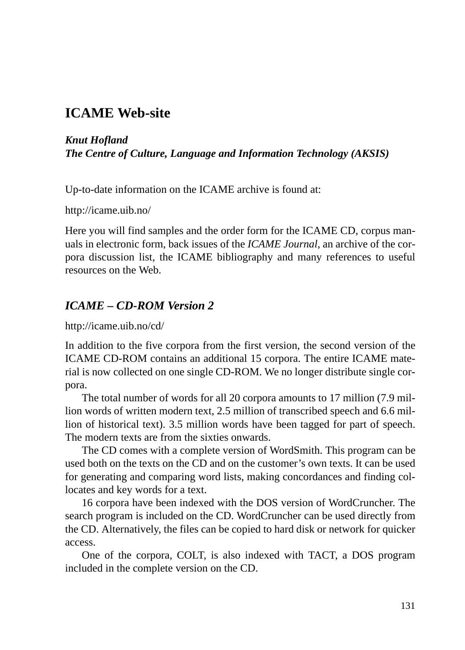## **ICAME Web-site**

#### *Knut Hofland The Centre of Culture, Language and Information Technology (AKSIS)*

Up-to-date information on the ICAME archive is found at:

http://icame.uib.no/

Here you will find samples and the order form for the ICAME CD, corpus manuals in electronic form, back issues of the *ICAME Journal*, an archive of the corpora discussion list, the ICAME bibliography and many references to useful resources on the Web.

### *ICAME – CD-ROM Version 2*

http://icame.uib.no/cd/

In addition to the five corpora from the first version, the second version of the ICAME CD-ROM contains an additional 15 corpora. The entire ICAME material is now collected on one single CD-ROM. We no longer distribute single corpora.

The total number of words for all 20 corpora amounts to 17 million (7.9 million words of written modern text, 2.5 million of transcribed speech and 6.6 million of historical text). 3.5 million words have been tagged for part of speech. The modern texts are from the sixties onwards.

The CD comes with a complete version of WordSmith. This program can be used both on the texts on the CD and on the customer's own texts. It can be used for generating and comparing word lists, making concordances and finding collocates and key words for a text.

16 corpora have been indexed with the DOS version of WordCruncher. The search program is included on the CD. WordCruncher can be used directly from the CD. Alternatively, the files can be copied to hard disk or network for quicker access.

One of the corpora, COLT, is also indexed with TACT, a DOS program included in the complete version on the CD.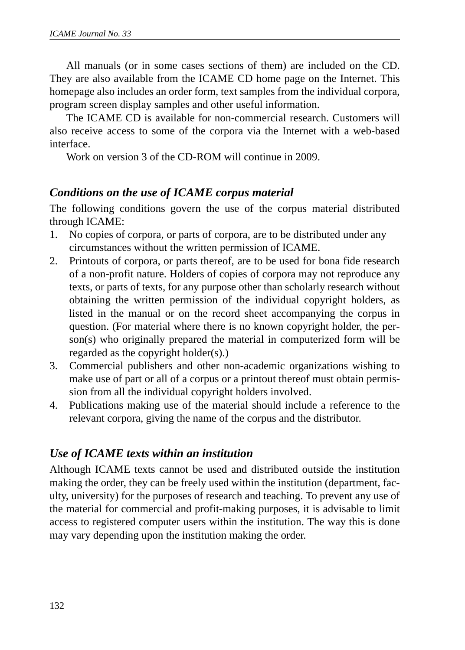All manuals (or in some cases sections of them) are included on the CD. They are also available from the ICAME CD home page on the Internet. This homepage also includes an order form, text samples from the individual corpora, program screen display samples and other useful information.

The ICAME CD is available for non-commercial research. Customers will also receive access to some of the corpora via the Internet with a web-based interface.

Work on version 3 of the CD-ROM will continue in 2009.

#### *Conditions on the use of ICAME corpus material*

The following conditions govern the use of the corpus material distributed through ICAME:

- 1. No copies of corpora, or parts of corpora, are to be distributed under any circumstances without the written permission of ICAME.
- 2. Printouts of corpora, or parts thereof, are to be used for bona fide research of a non-profit nature. Holders of copies of corpora may not reproduce any texts, or parts of texts, for any purpose other than scholarly research without obtaining the written permission of the individual copyright holders, as listed in the manual or on the record sheet accompanying the corpus in question. (For material where there is no known copyright holder, the person(s) who originally prepared the material in computerized form will be regarded as the copyright holder(s).)
- 3. Commercial publishers and other non-academic organizations wishing to make use of part or all of a corpus or a printout thereof must obtain permission from all the individual copyright holders involved.
- 4. Publications making use of the material should include a reference to the relevant corpora, giving the name of the corpus and the distributor.

#### *Use of ICAME texts within an institution*

Although ICAME texts cannot be used and distributed outside the institution making the order, they can be freely used within the institution (department, faculty, university) for the purposes of research and teaching. To prevent any use of the material for commercial and profit-making purposes, it is advisable to limit access to registered computer users within the institution. The way this is done may vary depending upon the institution making the order.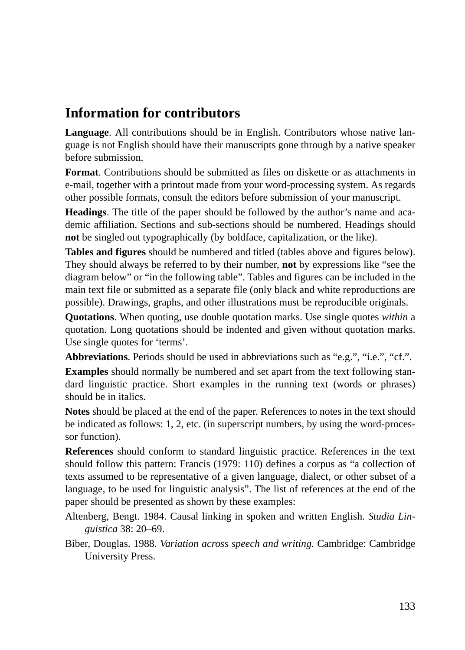# **Information for contributors**

**Language**. All contributions should be in English. Contributors whose native language is not English should have their manuscripts gone through by a native speaker before submission.

**Format**. Contributions should be submitted as files on diskette or as attachments in e-mail, together with a printout made from your word-processing system. As regards other possible formats, consult the editors before submission of your manuscript.

**Headings**. The title of the paper should be followed by the author's name and academic affiliation. Sections and sub-sections should be numbered. Headings should **not** be singled out typographically (by boldface, capitalization, or the like).

**Tables and figures** should be numbered and titled (tables above and figures below). They should always be referred to by their number, **not** by expressions like "see the diagram below" or "in the following table". Tables and figures can be included in the main text file or submitted as a separate file (only black and white reproductions are possible). Drawings, graphs, and other illustrations must be reproducible originals.

**Quotations**. When quoting, use double quotation marks. Use single quotes *within* a quotation. Long quotations should be indented and given without quotation marks. Use single quotes for 'terms'.

Abbreviations. Periods should be used in abbreviations such as "e.g.", "i.e.", "cf.".

**Examples** should normally be numbered and set apart from the text following standard linguistic practice. Short examples in the running text (words or phrases) should be in italics.

**Notes** should be placed at the end of the paper. References to notes in the text should be indicated as follows: 1, 2, etc. (in superscript numbers, by using the word-processor function).

**References** should conform to standard linguistic practice. References in the text should follow this pattern: Francis (1979: 110) defines a corpus as "a collection of texts assumed to be representative of a given language, dialect, or other subset of a language, to be used for linguistic analysis". The list of references at the end of the paper should be presented as shown by these examples:

Altenberg, Bengt. 1984. Causal linking in spoken and written English. *Studia Linguistica* 38: 20–69.

Biber, Douglas. 1988. *Variation across speech and writing*. Cambridge: Cambridge University Press.